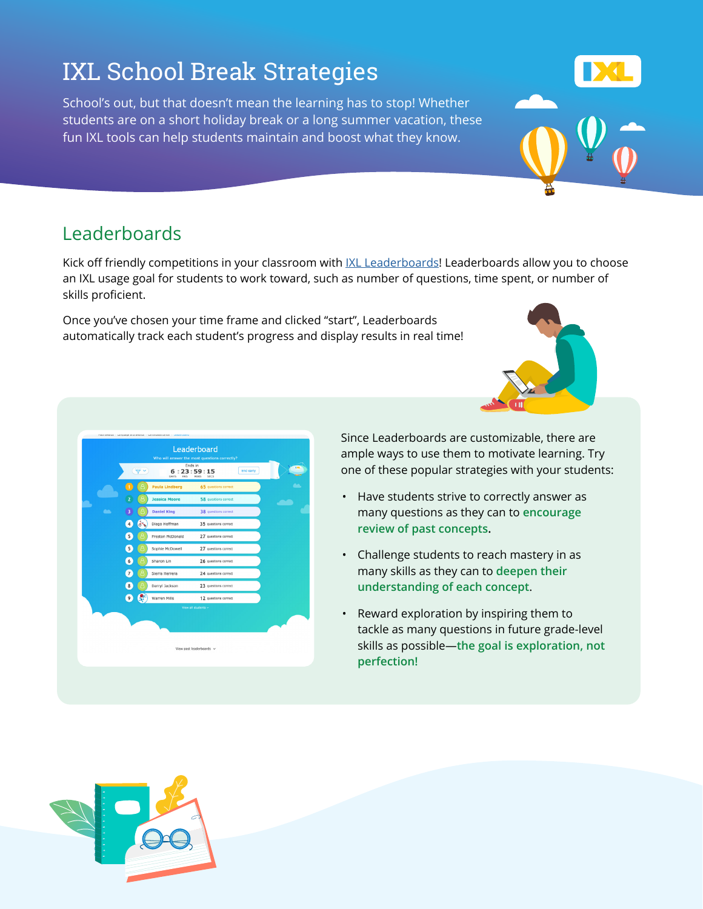## IXL School Break Strategies

School's out, but that doesn't mean the learning has to stop! Whether students are on a short holiday break or a long summer vacation, these fun IXL tools can help students maintain and boost what they know.

## Leaderboards

Kick off friendly competitions in your classroom with [IXL Leaderboards](https://www.ixl.com/awards/leaderboard)! Leaderboards allow you to choose an IXL usage goal for students to work toward, such as number of questions, time spent, or number of skills proficient.

Once you've chosen your time frame and clicked "start", Leaderboards automatically track each student's progress and display results in real time!

> Since Leaderboards are customizable, there are ample ways to use them to motivate learning. Try one of these popular strategies with your students:

- Have students strive to correctly answer as many questions as they can to **encourage review of past concepts.**
- Challenge students to reach mastery in as many skills as they can to **deepen their understanding of each concept**.
- Reward exploration by inspiring them to tackle as many questions in future grade-level skills as possible—**the goal is exploration, not perfection!**